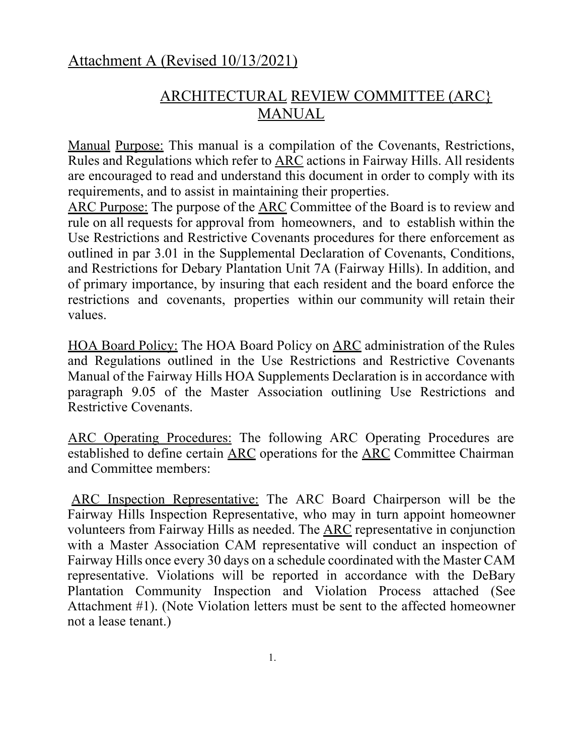## Attachment A (Revised 10/13/2021)

## ARCHITECTURAL REVIEW COMMITTEE (ARC} MANUAL

Manual Purpose: This manual is a compilation of the Covenants, Restrictions, Rules and Regulations which refer to ARC actions in Fairway Hills. All residents are encouraged to read and understand this document in order to comply with its requirements, and to assist in maintaining their properties.

ARC Purpose: The purpose of the ARC Committee of the Board is to review and rule on all requests for approval from homeowners, and to establish within the Use Restrictions and Restrictive Covenants procedures for there enforcement as outlined in par 3.01 in the Supplemental Declaration of Covenants, Conditions, and Restrictions for Debary Plantation Unit 7A (Fairway Hills). In addition, and of primary importance, by insuring that each resident and the board enforce the restrictions and covenants, properties within our community will retain their values.

HOA Board Policy: The HOA Board Policy on ARC administration of the Rules and Regulations outlined in the Use Restrictions and Restrictive Covenants Manual of the Fairway Hills HOA Supplements Declaration is in accordance with paragraph 9.05 of the Master Association outlining Use Restrictions and Restrictive Covenants.

ARC Operating Procedures: The following ARC Operating Procedures are established to define certain ARC operations for the ARC Committee Chairman and Committee members:

ARC Inspection Representative: The ARC Board Chairperson will be the Fairway Hills Inspection Representative, who may in turn appoint homeowner volunteers from Fairway Hills as needed. The ARC representative in conjunction with a Master Association CAM representative will conduct an inspection of Fairway Hills once every 30 days on a schedule coordinated with the Master CAM representative. Violations will be reported in accordance with the DeBary Plantation Community Inspection and Violation Process attached (See Attachment #1). (Note Violation letters must be sent to the affected homeowner not a lease tenant.)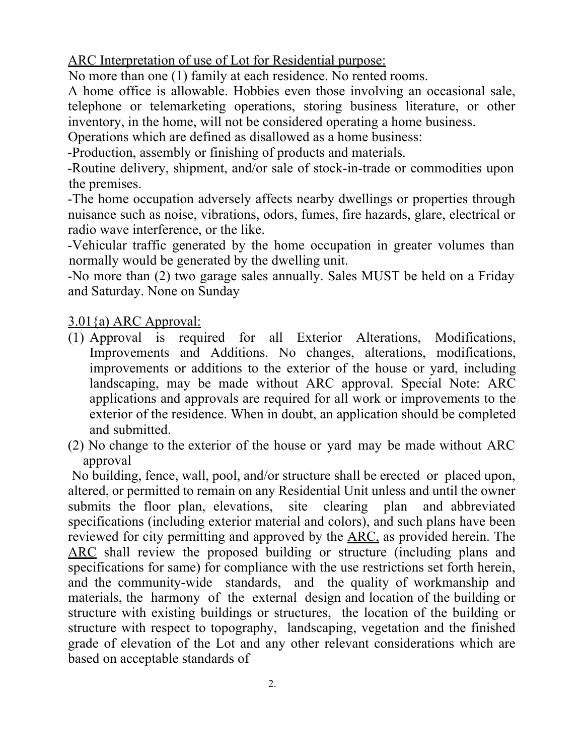ARC Interpretation of use of Lot for Residential purpose:

No more than one (1) family at each residence. No rented rooms.

A home office is allowable. Hobbies even those involving an occasional sale, telephone or telemarketing operations, storing business literature, or other inventory, in the home, will not be considered operating a home business.

Operations which are defined as disallowed as a home business:

-Production, assembly or finishing of products and materials.

-Routine delivery, shipment, and/or sale of stock-in-trade or commodities upon the premises.

-The home occupation adversely affects nearby dwellings or properties through nuisance such as noise, vibrations, odors, fumes, fire hazards, glare, electrical or radio wave interference, or the like.

-Vehicular traffic generated by the home occupation in greater volumes than normally would be generated by the dwelling unit.

-No more than (2) two garage sales annually. Sales MUST be held on a Friday and Saturday. None on Sunday

## 3.01{a) ARC Approval:

- (1) Approval is required for all Exterior Alterations, Modifications, Improvements and Additions. No changes, alterations, modifications, improvements or additions to the exterior of the house or yard, including landscaping, may be made without ARC approval. Special Note: ARC applications and approvals are required for all work or improvements to the exterior of the residence. When in doubt, an application should be completed and submitted.
- (2) No change to the exterior of the house or yard may be made without ARC approval

No building, fence, wall, pool, and/or structure shall be erected or placed upon, altered, or permitted to remain on any Residential Unit unless and until the owner submits the floor plan, elevations, site clearing plan and abbreviated specifications (including exterior material and colors), and such plans have been reviewed for city permitting and approved by the ARC, as provided herein. The ARC shall review the proposed building or structure (including plans and specifications for same) for compliance with the use restrictions set forth herein, and the community-wide standards, and the quality of workmanship and materials, the harmony of the external design and location of the building or structure with existing buildings or structures, the location of the building or structure with respect to topography, landscaping, vegetation and the finished grade of elevation of the Lot and any other relevant considerations which are based on acceptable standards of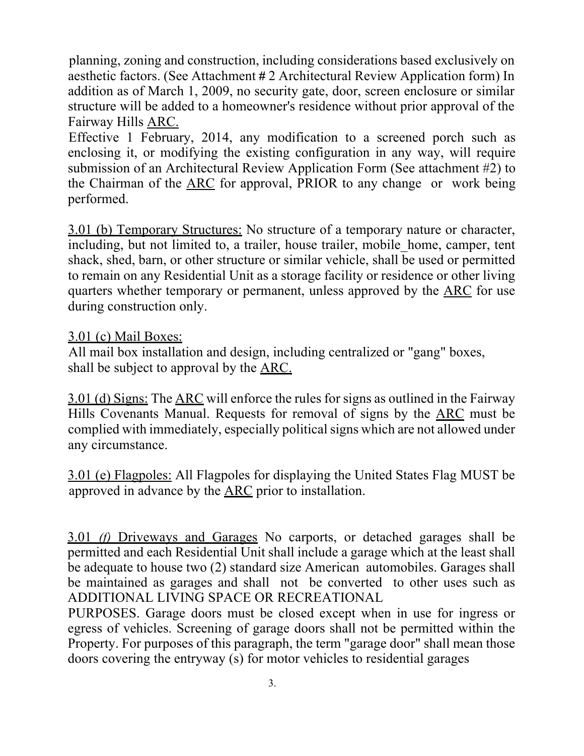planning, zoning and construction, including considerations based exclusively on aesthetic factors. (See Attachment # 2 Architectural Review Application form) In addition as of March 1, 2009, no security gate, door, screen enclosure or similar structure will be added to a homeowner's residence without prior approval of the Fairway Hills ARC.

Effective 1 February, 2014, any modification to a screened porch such as enclosing it, or modifying the existing configuration in any way, will require submission of an Architectural Review Application Form (See attachment #2) to the Chairman of the ARC for approval, PRIOR to any change or work being performed.

3.01 (b) Temporary Structures: No structure of a temporary nature or character, including, but not limited to, a trailer, house trailer, mobile home, camper, tent shack, shed, barn, or other structure or similar vehicle, shall be used or permitted to remain on any Residential Unit as a storage facility or residence or other living quarters whether temporary or permanent, unless approved by the ARC for use during construction only.

### 3.01 (c) Mail Boxes:

All mail box installation and design, including centralized or "gang" boxes, shall be subject to approval by the ARC.

3.01 (d) Signs: The ARC will enforce the rules for signs as outlined in the Fairway Hills Covenants Manual. Requests for removal of signs by the ARC must be complied with immediately, especially politicalsigns which are not allowed under any circumstance.

3.01 (e) Flagpoles: All Flagpoles for displaying the United States Flag MUST be approved in advance by the ARC prior to installation.

3.01 *(f)* Driveways and Garages No carports, or detached garages shall be permitted and each Residential Unit shall include a garage which at the least shall be adequate to house two (2) standard size American automobiles. Garages shall be maintained as garages and shall not be converted to other uses such as ADDITIONAL LIVING SPACE OR RECREATIONAL

PURPOSES. Garage doors must be closed except when in use for ingress or egress of vehicles. Screening of garage doors shall not be permitted within the Property. For purposes of this paragraph, the term "garage door" shall mean those doors covering the entryway (s) for motor vehicles to residential garages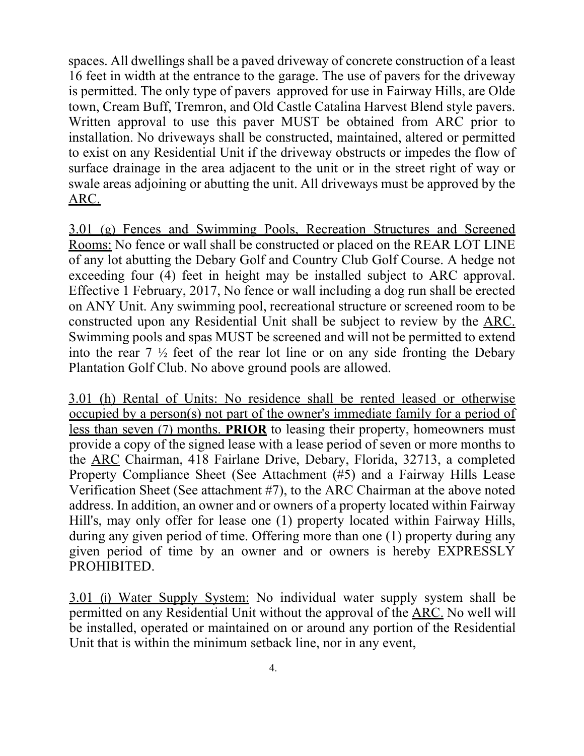spaces. All dwellings shall be a paved driveway of concrete construction of a least 16 feet in width at the entrance to the garage. The use of pavers for the driveway is permitted. The only type of pavers approved for use in Fairway Hills, are Olde town, Cream Buff, Tremron, and Old Castle Catalina Harvest Blend style pavers. Written approval to use this paver MUST be obtained from ARC prior to installation. No driveways shall be constructed, maintained, altered or permitted to exist on any Residential Unit if the driveway obstructs or impedes the flow of surface drainage in the area adjacent to the unit or in the street right of way or swale areas adjoining or abutting the unit. All driveways must be approved by the ARC.

3.01 (g) Fences and Swimming Pools, Recreation Structures and Screened Rooms: No fence or wall shall be constructed or placed on the REAR LOT LINE of any lot abutting the Debary Golf and Country Club Golf Course. A hedge not exceeding four (4) feet in height may be installed subject to ARC approval. Effective 1 February, 2017, No fence or wall including a dog run shall be erected on ANY Unit. Any swimming pool, recreational structure or screened room to be constructed upon any Residential Unit shall be subject to review by the ARC. Swimming pools and spas MUST be screened and will not be permitted to extend into the rear 7 ½ feet of the rear lot line or on any side fronting the Debary Plantation Golf Club. No above ground pools are allowed.

3.01 (h) Rental of Units: No residence shall be rented leased or otherwise occupied by a person(s) not part of the owner's immediate family for a period of less than seven (7) months. **PRIOR** to leasing their property, homeowners must provide a copy of the signed lease with a lease period of seven or more months to the ARC Chairman, 418 Fairlane Drive, Debary, Florida, 32713, a completed Property Compliance Sheet (See Attachment (#5) and a Fairway Hills Lease Verification Sheet (See attachment #7), to the ARC Chairman at the above noted address. In addition, an owner and or owners of a property located within Fairway Hill's, may only offer for lease one (1) property located within Fairway Hills, during any given period of time. Offering more than one (1) property during any given period of time by an owner and or owners is hereby EXPRESSLY PROHIBITED.

3.01 (i) Water Supply System: No individual water supply system shall be permitted on any Residential Unit without the approval of the ARC. No well will be installed, operated or maintained on or around any portion of the Residential Unit that is within the minimum setback line, nor in any event,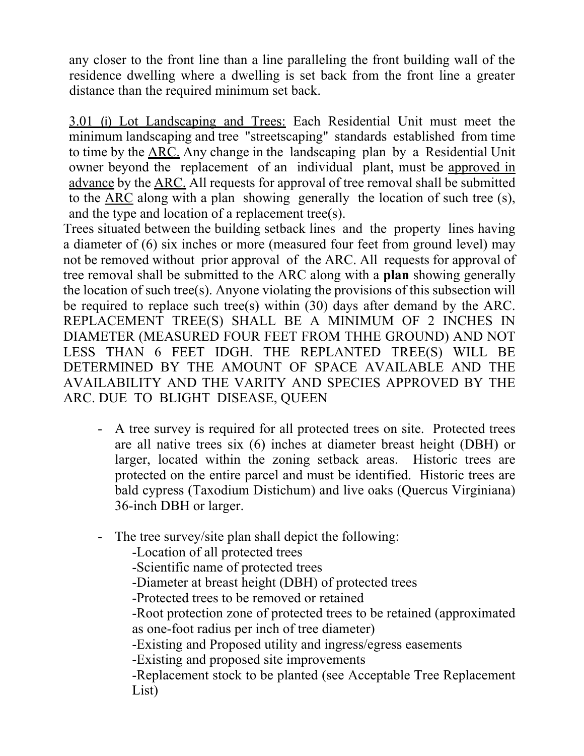any closer to the front line than a line paralleling the front building wall of the residence dwelling where a dwelling is set back from the front line a greater distance than the required minimum set back.

3.01 (i) Lot Landscaping and Trees: Each Residential Unit must meet the minimum landscaping and tree "streetscaping" standards established from time to time by the ARC. Any change in the landscaping plan by a Residential Unit owner beyond the replacement of an individual plant, must be approved in advance by the ARC. All requests for approval of tree removal shall be submitted to the ARC along with a plan showing generally the location of such tree (s), and the type and location of a replacement tree(s).

Trees situated between the building setback lines and the property lines having a diameter of (6) six inches or more (measured four feet from ground level) may not be removed without prior approval of the ARC. All requests for approval of tree removal shall be submitted to the ARC along with a **plan** showing generally the location of such tree(s). Anyone violating the provisions of this subsection will be required to replace such tree(s) within (30) days after demand by the ARC. REPLACEMENT TREE(S) SHALL BE A MINIMUM OF 2 INCHES IN DIAMETER (MEASURED FOUR FEET FROM THHE GROUND) AND NOT LESS THAN 6 FEET IDGH. THE REPLANTED TREE(S) WILL BE DETERMINED BY THE AMOUNT OF SPACE AVAILABLE AND THE AVAILABILITY AND THE VARITY AND SPECIES APPROVED BY THE ARC. DUE TO BLIGHT DISEASE, QUEEN

- A tree survey is required for all protected trees on site. Protected trees are all native trees six (6) inches at diameter breast height (DBH) or larger, located within the zoning setback areas. Historic trees are protected on the entire parcel and must be identified. Historic trees are bald cypress (Taxodium Distichum) and live oaks (Quercus Virginiana) 36-inch DBH or larger.
- The tree survey/site plan shall depict the following:
	- -Location of all protected trees
	- -Scientific name of protected trees
	- -Diameter at breast height (DBH) of protected trees
	- -Protected trees to be removed or retained

-Root protection zone of protected trees to be retained (approximated as one-foot radius per inch of tree diameter)

-Existing and Proposed utility and ingress/egress easements

-Existing and proposed site improvements

-Replacement stock to be planted (see Acceptable Tree Replacement List)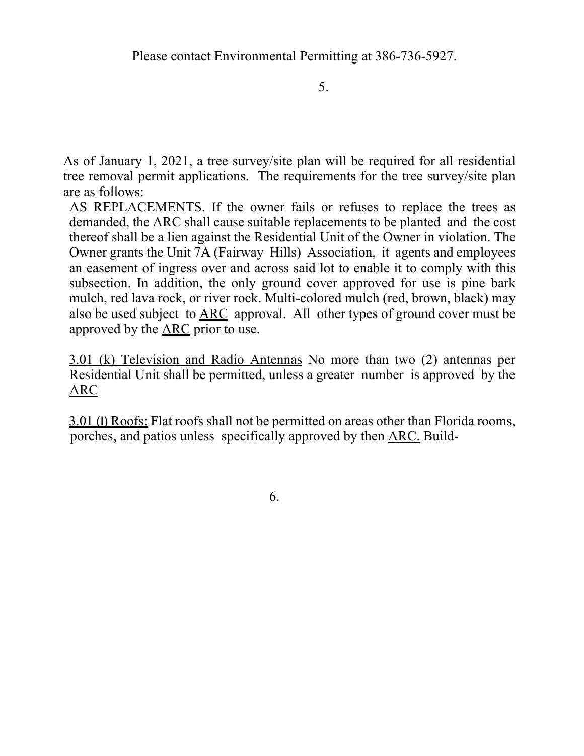5.

As of January 1, 2021, a tree survey/site plan will be required for all residential tree removal permit applications. The requirements for the tree survey/site plan are as follows:

AS REPLACEMENTS. If the owner fails or refuses to replace the trees as demanded, the ARC shall cause suitable replacements to be planted and the cost thereof shall be a lien against the Residential Unit of the Owner in violation. The Owner grants the Unit 7A (Fairway Hills) Association, it agents and employees an easement of ingress over and across said lot to enable it to comply with this subsection. In addition, the only ground cover approved for use is pine bark mulch, red lava rock, or river rock. Multi-colored mulch (red, brown, black) may also be used subject to ARC approval. All other types of ground cover must be approved by the ARC prior to use.

3.01 (k) Television and Radio Antennas No more than two (2) antennas per Residential Unit shall be permitted, unless a greater number is approved by the ARC

3.01 (I) Roofs: Flat roofs shall not be permitted on areas other than Florida rooms, porches, and patios unless specifically approved by then ARC. Build-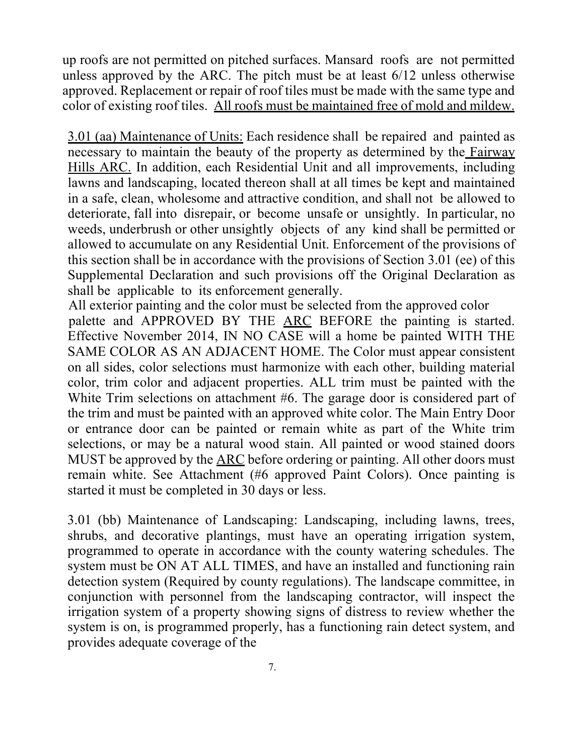up roofs are not permitted on pitched surfaces. Mansard roofs are not permitted unless approved by the ARC. The pitch must be at least 6/12 unless otherwise approved. Replacement or repair of roof tiles must be made with the same type and color of existing roof tiles. All roofs must be maintained free of mold and mildew.

3.01 (aa) Maintenance of Units: Each residence shall be repaired and painted as necessary to maintain the beauty of the property as determined by the Fairway Hills ARC. In addition, each Residential Unit and all improvements, including lawns and landscaping, located thereon shall at all times be kept and maintained in a safe, clean, wholesome and attractive condition, and shall not be allowed to deteriorate, fall into disrepair, or become unsafe or unsightly. In particular, no weeds, underbrush or other unsightly objects of any kind shall be permitted or allowed to accumulate on any Residential Unit. Enforcement of the provisions of this section shall be in accordance with the provisions of Section 3.01 (ee) of this Supplemental Declaration and such provisions off the Original Declaration as shall be applicable to its enforcement generally.

All exterior painting and the color must be selected from the approved color palette and APPROVED BY THE ARC BEFORE the painting is started. Effective November 2014, IN NO CASE will a home be painted WITH THE SAME COLOR AS AN ADJACENT HOME. The Color must appear consistent on all sides, color selections must harmonize with each other, building material color, trim color and adjacent properties. ALL trim must be painted with the White Trim selections on attachment #6. The garage door is considered part of the trim and must be painted with an approved white color. The Main Entry Door or entrance door can be painted or remain white as part of the White trim selections, or may be a natural wood stain. All painted or wood stained doors MUST be approved by the ARC before ordering or painting. All other doors must remain white. See Attachment (#6 approved Paint Colors). Once painting is started it must be completed in 30 days or less.

3.01 (bb) Maintenance of Landscaping: Landscaping, including lawns, trees, shrubs, and decorative plantings, must have an operating irrigation system, programmed to operate in accordance with the county watering schedules. The system must be ON AT ALL TIMES, and have an installed and functioning rain detection system (Required by county regulations). The landscape committee, in conjunction with personnel from the landscaping contractor, will inspect the irrigation system of a property showing signs of distress to review whether the system is on, is programmed properly, has a functioning rain detect system, and provides adequate coverage of the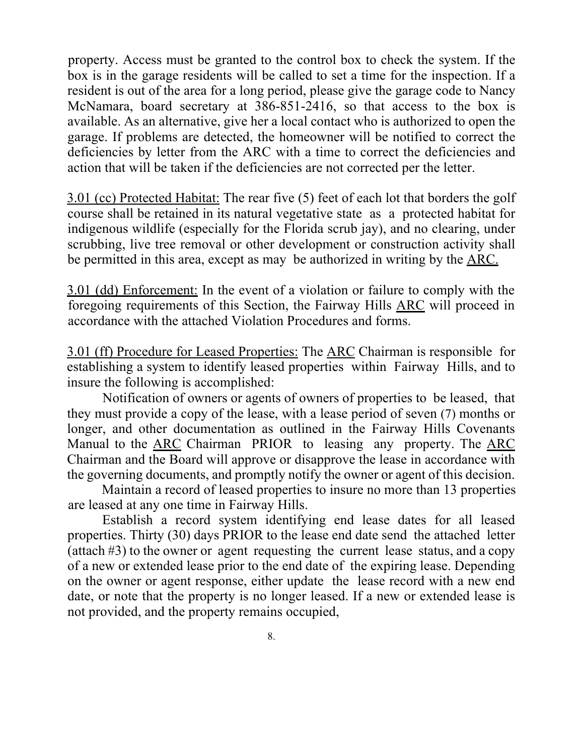property. Access must be granted to the control box to check the system. If the box is in the garage residents will be called to set a time for the inspection. If a resident is out of the area for a long period, please give the garage code to Nancy McNamara, board secretary at 386-851-2416, so that access to the box is available. As an alternative, give her a local contact who is authorized to open the garage. If problems are detected, the homeowner will be notified to correct the deficiencies by letter from the ARC with a time to correct the deficiencies and action that will be taken if the deficiencies are not corrected per the letter.

3.01 (cc) Protected Habitat: The rear five (5) feet of each lot that borders the golf course shall be retained in its natural vegetative state as a protected habitat for indigenous wildlife (especially for the Florida scrub jay), and no clearing, under scrubbing, live tree removal or other development or construction activity shall be permitted in this area, except as may be authorized in writing by the ARC.

3.01 (dd) Enforcement: In the event of a violation or failure to comply with the foregoing requirements of this Section, the Fairway Hills ARC will proceed in accordance with the attached Violation Procedures and forms.

3.01 (ff) Procedure for Leased Properties: The ARC Chairman is responsible for establishing a system to identify leased properties within Fairway Hills, and to insure the following is accomplished:

Notification of owners or agents of owners of properties to be leased, that they must provide a copy of the lease, with a lease period of seven (7) months or longer, and other documentation as outlined in the Fairway Hills Covenants Manual to the ARC Chairman PRIOR to leasing any property. The ARC Chairman and the Board will approve or disapprove the lease in accordance with the governing documents, and promptly notify the owner or agent of this decision.

Maintain a record of leased properties to insure no more than 13 properties are leased at any one time in Fairway Hills.

Establish a record system identifying end lease dates for all leased properties. Thirty (30) days PRIOR to the lease end date send the attached letter (attach #3) to the owner or agent requesting the current lease status, and a copy of a new or extended lease prior to the end date of the expiring lease. Depending on the owner or agent response, either update the lease record with a new end date, or note that the property is no longer leased. If a new or extended lease is not provided, and the property remains occupied,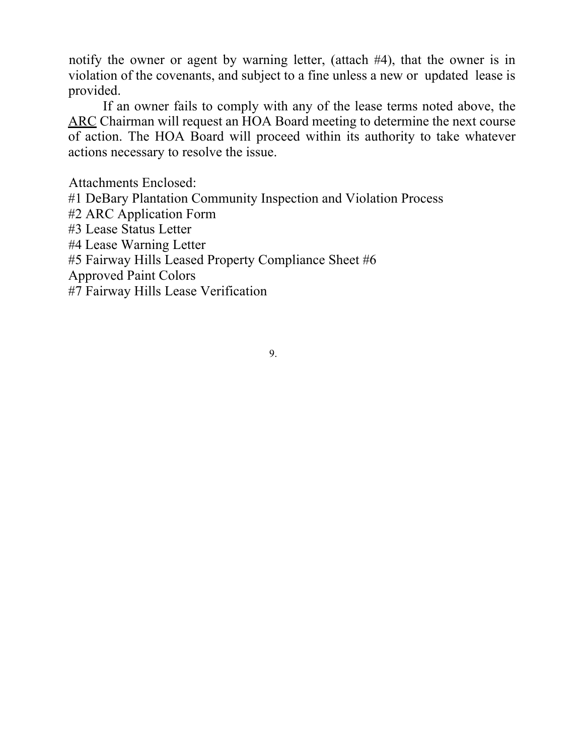notify the owner or agent by warning letter, (attach #4), that the owner is in violation of the covenants, and subject to a fine unless a new or updated lease is provided.

If an owner fails to comply with any of the lease terms noted above, the ARC Chairman will request an HOA Board meeting to determine the next course of action. The HOA Board will proceed within its authority to take whatever actions necessary to resolve the issue.

Attachments Enclosed: #1 DeBary Plantation Community Inspection and Violation Process #2 ARC Application Form #3 Lease Status Letter #4 Lease Warning Letter #5 Fairway Hills Leased Property Compliance Sheet #6 Approved Paint Colors

#7 Fairway Hills Lease Verification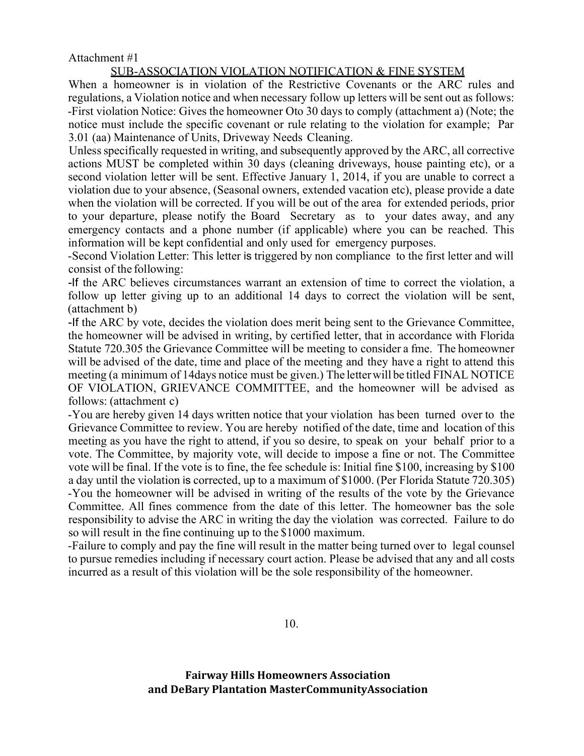#### Attachment #1

#### SUB-ASSOCIATION VIOLATION NOTIFICATION & FINE SYSTEM

When a homeowner is in violation of the Restrictive Covenants or the ARC rules and regulations, a Violation notice and when necessary follow up letters will be sent out as follows: -First violation Notice: Gives the homeowner Oto 30 days to comply (attachment a) (Note; the notice must include the specific covenant or rule relating to the violation for example; Par 3.01 (aa) Maintenance of Units, Driveway Needs Cleaning.

Unless specifically requested in writing, and subsequently approved by the ARC, all corrective actions MUST be completed within 30 days (cleaning driveways, house painting etc), or a second violation letter will be sent. Effective January 1, 2014, if you are unable to correct a violation due to your absence, (Seasonal owners, extended vacation etc), please provide a date when the violation will be corrected. If you will be out of the area for extended periods, prior to your departure, please notify the Board Secretary as to your dates away, and any emergency contacts and a phone number (if applicable) where you can be reached. This information will be kept confidential and only used for emergency purposes.

-Second Violation Letter: This letter is triggered by non compliance to the first letter and will consist of the following:

-If the ARC believes circumstances warrant an extension of time to correct the violation, a follow up letter giving up to an additional 14 days to correct the violation will be sent, (attachment b)

-If the ARC by vote, decides the violation does merit being sent to the Grievance Committee, the homeowner will be advised in writing, by certified letter, that in accordance with Florida Statute 720.305 the Grievance Committee will be meeting to consider a fme. The homeowner will be advised of the date, time and place of the meeting and they have a right to attend this meeting (a minimum of 14days notice must be given.) The letterwill be titled FINAL NOTICE OF VIOLATION, GRIEVANCE COMMITTEE, and the homeowner will be advised as follows: (attachment c)

-You are hereby given 14 days written notice that your violation has been turned over to the Grievance Committee to review. You are hereby notified of the date, time and location of this meeting as you have the right to attend, if you so desire, to speak on your behalf prior to a vote. The Committee, by majority vote, will decide to impose a fine or not. The Committee vote will be final. If the vote is to fine, the fee schedule is: Initial fine \$100, increasing by \$100 a day until the violation is corrected, up to a maximum of \$1000. (Per Florida Statute 720.305) -You the homeowner will be advised in writing of the results of the vote by the Grievance Committee. All fines commence from the date of this letter. The homeowner bas the sole responsibility to advise the ARC in writing the day the violation was corrected. Failure to do so will result in the fine continuing up to the \$1000 maximum.

-Failure to comply and pay the fine will result in the matter being turned over to legal counsel to pursue remedies including if necessary court action. Please be advised that any and all costs incurred as a result of this violation will be the sole responsibility of the homeowner.

10.

**Fairway Hills Homeowners Association and DeBary Plantation MasterCommunityAssociation**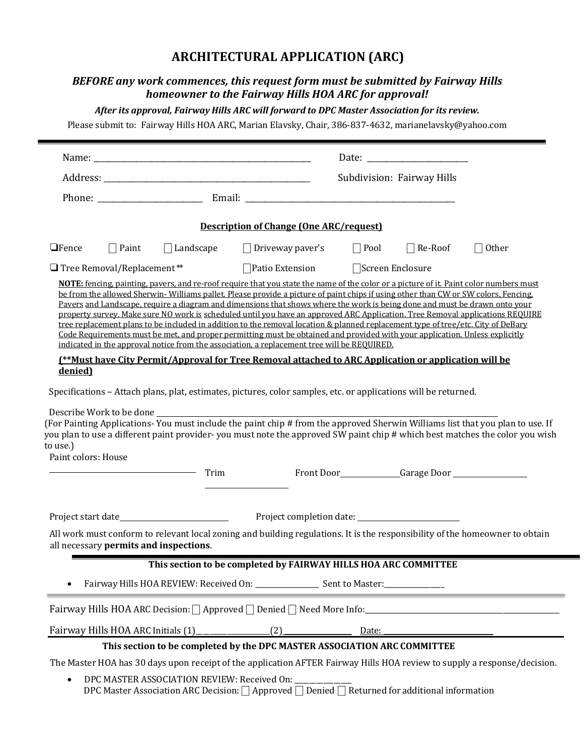### **ARCHITECTURAL APPLICATION (ARC)**

#### *BEFORE any work commences, this request form must be submitted by Fairway Hills homeowner to the Fairway Hills HOA ARC for approval!*

*After its approval, Fairway Hills ARC will forward to DPC Master Association for its review.*

Please submit to: Fairway Hills HOA ARC, Marian Elavsky, Chair, 386-837-4632, marianelavsky@yahoo.com

|                                                                                                                                                                                                                                                                                                                                                                                                                                                                                                                                                                                                                                                                                                                                                                                                                                                                                                                                                                                                                                          |                                    |                  | Subdivision: Fairway Hills                                                                                      |                   |                                                             |                                                                                                                                                                                                                                                              |  |  |  |
|------------------------------------------------------------------------------------------------------------------------------------------------------------------------------------------------------------------------------------------------------------------------------------------------------------------------------------------------------------------------------------------------------------------------------------------------------------------------------------------------------------------------------------------------------------------------------------------------------------------------------------------------------------------------------------------------------------------------------------------------------------------------------------------------------------------------------------------------------------------------------------------------------------------------------------------------------------------------------------------------------------------------------------------|------------------------------------|------------------|-----------------------------------------------------------------------------------------------------------------|-------------------|-------------------------------------------------------------|--------------------------------------------------------------------------------------------------------------------------------------------------------------------------------------------------------------------------------------------------------------|--|--|--|
|                                                                                                                                                                                                                                                                                                                                                                                                                                                                                                                                                                                                                                                                                                                                                                                                                                                                                                                                                                                                                                          |                                    |                  |                                                                                                                 |                   |                                                             |                                                                                                                                                                                                                                                              |  |  |  |
| <b>Description of Change (One ARC/request)</b>                                                                                                                                                                                                                                                                                                                                                                                                                                                                                                                                                                                                                                                                                                                                                                                                                                                                                                                                                                                           |                                    |                  |                                                                                                                 |                   |                                                             |                                                                                                                                                                                                                                                              |  |  |  |
| $\Box$ Fence                                                                                                                                                                                                                                                                                                                                                                                                                                                                                                                                                                                                                                                                                                                                                                                                                                                                                                                                                                                                                             | $\Box$ Paint                       | $\Box$ Landscape | $\Box$ Driveway paver's                                                                                         | $\Box$ Pool       | $\Box$ Re-Roof                                              | $\Box$ Other                                                                                                                                                                                                                                                 |  |  |  |
|                                                                                                                                                                                                                                                                                                                                                                                                                                                                                                                                                                                                                                                                                                                                                                                                                                                                                                                                                                                                                                          | $\Box$ Tree Removal/Replacement**  |                  | $\Box$ Patio Extension                                                                                          | □Screen Enclosure |                                                             |                                                                                                                                                                                                                                                              |  |  |  |
| <b>NOTE:</b> fencing, painting, pavers, and re-roof require that you state the name of the color or a picture of it. Paint color numbers must<br>be from the allowed Sherwin-Williams pallet. Please provide a picture of paint chips if using other than CW or SW colors, Fencing,<br>Pavers and Landscape, require a diagram and dimensions that shows where the work is being done and must be drawn onto your<br>property survey. Make sure NO work is scheduled until you have an approved ARC Application. Tree Removal applications REQUIRE<br>tree replacement plans to be included in addition to the removal location & planned replacement type of tree/etc. City of DeBary<br>Code Requirements must be met, and proper permitting must be obtained and provided with your application. Unless explicitly<br>indicated in the approval notice from the association, a replacement tree will be REQUIRED.<br>[**Must have City Permit/Approval for Tree Removal attached to ARC Application or application will be<br>denied) |                                    |                  |                                                                                                                 |                   |                                                             |                                                                                                                                                                                                                                                              |  |  |  |
| to use.)<br>Paint colors: House                                                                                                                                                                                                                                                                                                                                                                                                                                                                                                                                                                                                                                                                                                                                                                                                                                                                                                                                                                                                          | Describe Work to be done _________ | Trim             | Specifications - Attach plans, plat, estimates, pictures, color samples, etc. or applications will be returned. |                   | Front Door <b>Sample Door Carage Door SAMPLE DOOR CARGO</b> | (For Painting Applications-You must include the paint chip # from the approved Sherwin Williams list that you plan to use. If<br>you plan to use a different paint provider-you must note the approved SW paint chip # which best matches the color you wish |  |  |  |
|                                                                                                                                                                                                                                                                                                                                                                                                                                                                                                                                                                                                                                                                                                                                                                                                                                                                                                                                                                                                                                          |                                    |                  |                                                                                                                 |                   |                                                             |                                                                                                                                                                                                                                                              |  |  |  |
| All work must conform to relevant local zoning and building regulations. It is the responsibility of the homeowner to obtain<br>all necessary permits and inspections.                                                                                                                                                                                                                                                                                                                                                                                                                                                                                                                                                                                                                                                                                                                                                                                                                                                                   |                                    |                  |                                                                                                                 |                   |                                                             |                                                                                                                                                                                                                                                              |  |  |  |
|                                                                                                                                                                                                                                                                                                                                                                                                                                                                                                                                                                                                                                                                                                                                                                                                                                                                                                                                                                                                                                          |                                    |                  | This section to be completed by FAIRWAY HILLS HOA ARC COMMITTEE                                                 |                   |                                                             |                                                                                                                                                                                                                                                              |  |  |  |
|                                                                                                                                                                                                                                                                                                                                                                                                                                                                                                                                                                                                                                                                                                                                                                                                                                                                                                                                                                                                                                          |                                    |                  | Fairway Hills HOA REVIEW: Received On: ________________ Sent to Master: _________                               |                   |                                                             |                                                                                                                                                                                                                                                              |  |  |  |
| Fairway Hills HOA ARC Decision: $\bigcap$ Approved $\bigcap$ Denied $\bigcap$ Need More Info:                                                                                                                                                                                                                                                                                                                                                                                                                                                                                                                                                                                                                                                                                                                                                                                                                                                                                                                                            |                                    |                  |                                                                                                                 |                   |                                                             |                                                                                                                                                                                                                                                              |  |  |  |
|                                                                                                                                                                                                                                                                                                                                                                                                                                                                                                                                                                                                                                                                                                                                                                                                                                                                                                                                                                                                                                          | Fairway Hills HOA ARC Initials (1) |                  | (2)                                                                                                             | Date:             |                                                             |                                                                                                                                                                                                                                                              |  |  |  |
|                                                                                                                                                                                                                                                                                                                                                                                                                                                                                                                                                                                                                                                                                                                                                                                                                                                                                                                                                                                                                                          |                                    |                  | This section to be completed by the DPC MASTER ASSOCIATION ARC COMMITTEE                                        |                   |                                                             |                                                                                                                                                                                                                                                              |  |  |  |
| The Master HOA has 30 days upon receipt of the application AFTER Fairway Hills HOA review to supply a response/decision.                                                                                                                                                                                                                                                                                                                                                                                                                                                                                                                                                                                                                                                                                                                                                                                                                                                                                                                 |                                    |                  |                                                                                                                 |                   |                                                             |                                                                                                                                                                                                                                                              |  |  |  |
| DPC MASTER ASSOCIATION REVIEW: Received On: _<br>DPC Master Association ARC Decision: □ Approved □ Denied □ Returned for additional information                                                                                                                                                                                                                                                                                                                                                                                                                                                                                                                                                                                                                                                                                                                                                                                                                                                                                          |                                    |                  |                                                                                                                 |                   |                                                             |                                                                                                                                                                                                                                                              |  |  |  |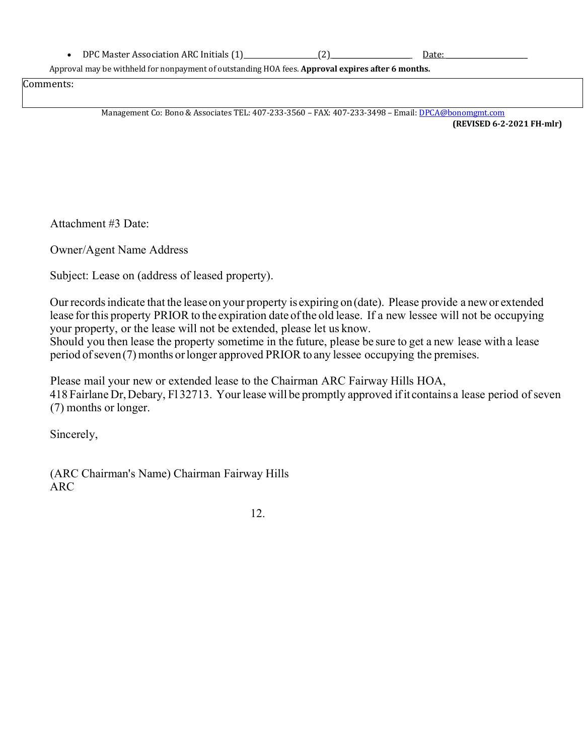• DPC Master Association ARC Initials (1) (2) Date:

Approval may be withheld for nonpayment of outstanding HOA fees. **Approval expires after 6 months.**

Comments:

Management Co: Bono & Associates TEL: 407-233-3560 – FAX: 407-233-3498 – Email: DPCA@bonomgmt.com

**(REVISED 6-2-2021 FH-mlr)**

Attachment #3 Date:

Owner/Agent Name Address

Subject: Lease on (address of leased property).

Our records indicate that the lease on your property is expiring on (date). Please provide a new or extended lease for this property PRIOR to the expiration date ofthe old lease. If a new lessee will not be occupying your property, or the lease will not be extended, please let us know.

Should you then lease the property sometime in the future, please be sure to get a new lease with a lease period ofseven(7)months orlonger approved PRIOR to any lessee occupying the premises.

Please mail your new or extended lease to the Chairman ARC Fairway Hills HOA, 418 Fairlane Dr, Debary, Fl 32713. Your lease will be promptly approved if it contains a lease period of seven (7) months or longer.

Sincerely,

(ARC Chairman's Name) Chairman Fairway Hills ARC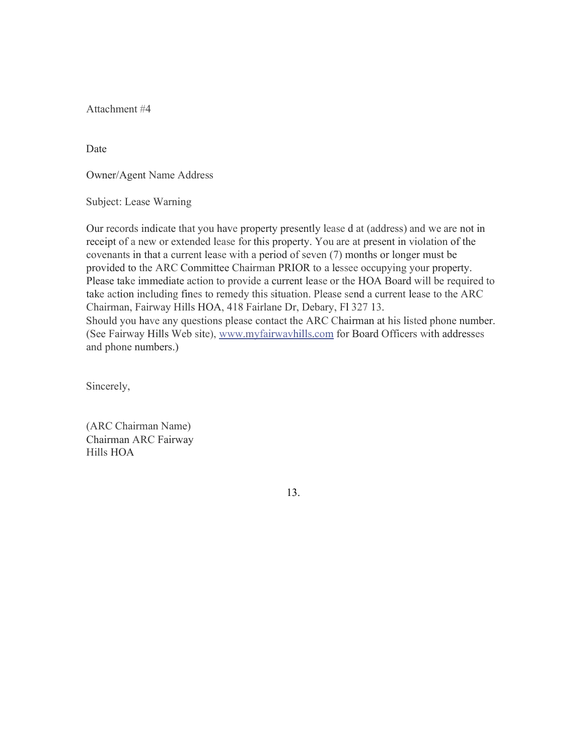Attachment #4

Date

Owner/Agent Name Address

Subject: Lease Warning

Our records indicate that you have property presently lease d at (address) and we are not in receipt of a new or extended lease for this property. You are at present in violation of the covenants in that a current lease with a period of seven (7) months or longer must be provided to the ARC Committee Chairman PRIOR to a lessee occupying your property. Please take immediate action to provide a current lease or the HOA Board will be required to take action including fines to remedy this situation. Please send a current lease to the ARC Chairman, Fairway Hills HOA, 418 Fairlane Dr, Debary, Fl 327 13. Should you have any questions please contact the ARC Chairman at his listed phone number. (See Fairway Hills Web site), www.myfairwavhills.com for Board Officers with addresses and phone numbers.)

Sincerely,

(ARC Chairman Name) Chairman ARC Fairway Hills HOA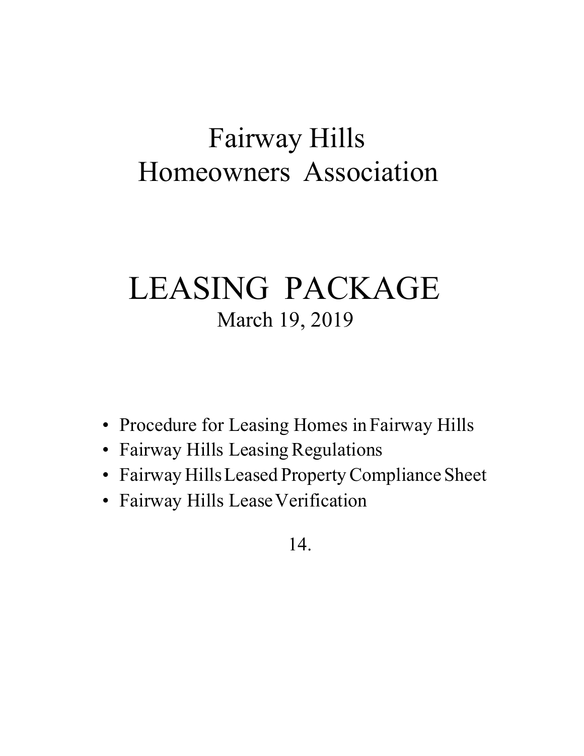# Fairway Hills Homeowners Association

# LEASING PACKAGE March 19, 2019

- Procedure for Leasing Homes in Fairway Hills
- Fairway Hills Leasing Regulations
- Fairway HillsLeased PropertyCompliance Sheet
- Fairway Hills Lease Verification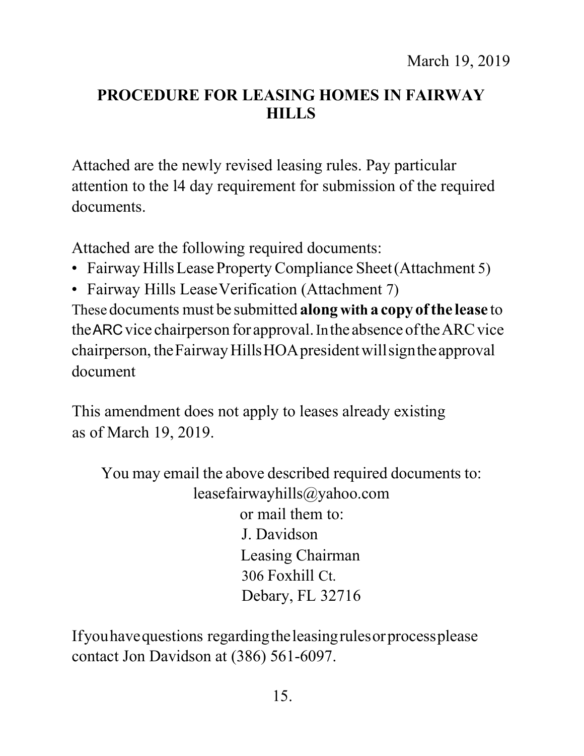# **PROCEDURE FOR LEASING HOMES IN FAIRWAY HILLS**

Attached are the newly revised leasing rules. Pay particular attention to the l4 day requirement for submission of the required documents.

Attached are the following required documents:

- Fairway Hills Lease Property Compliance Sheet (Attachment 5)
- Fairway Hills Lease Verification (Attachment 7)

These documents must be submitted **along with a copy ofthe lease** to the ARC vice chairperson for approval. In the absence of the ARC vice chairperson, theFairwayHillsHOApresidentwillsigntheapproval document

This amendment does not apply to leases already existing as of March 19, 2019.

You may email the above described required documents to: leasefairwayhills@yahoo.com or mail them to: J. Davidson Leasing Chairman 306 Foxhill Ct. Debary, FL 32716

Ifyouhavequestions regardingtheleasingrulesorprocessplease contact Jon Davidson at (386) 561-6097.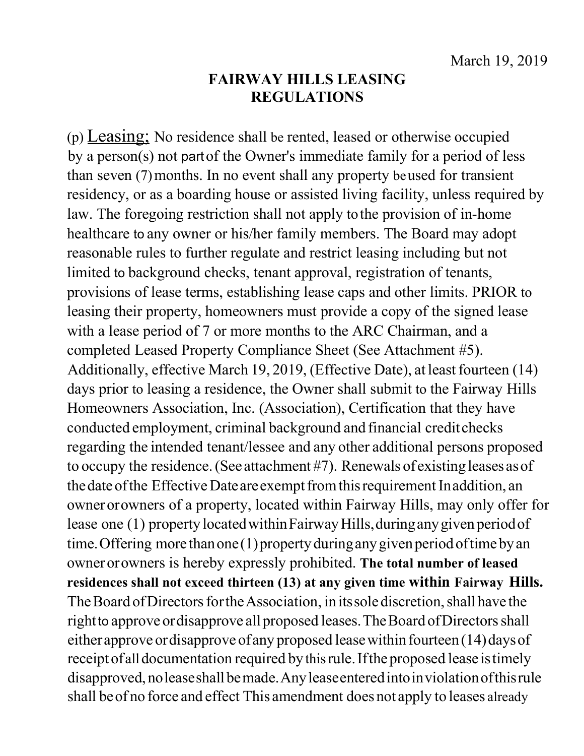## **FAIRWAY HILLS LEASING REGULATIONS**

(p) Leasing; No residence shall be rented, leased or otherwise occupied by a person(s) not partof the Owner's immediate family for a period of less than seven (7)months. In no event shall any property beused for transient residency, or as a boarding house or assisted living facility, unless required by law. The foregoing restriction shall not apply tothe provision of in-home healthcare to any owner or his/her family members. The Board may adopt reasonable rules to further regulate and restrict leasing including but not limited to background checks, tenant approval, registration of tenants, provisions of lease terms, establishing lease caps and other limits. PRIOR to leasing their property, homeowners must provide a copy of the signed lease with a lease period of 7 or more months to the ARC Chairman, and a completed Leased Property Compliance Sheet (See Attachment #5). Additionally, effective March 19, 2019, (Effective Date), at least fourteen (14) days prior to leasing a residence, the Owner shall submit to the Fairway Hills Homeowners Association, Inc. (Association), Certification that they have conducted employment, criminal background and financial creditchecks regarding the intended tenant/lessee and any other additional persons proposed to occupy the residence.(See attachment #7). Renewals of existing leases asof the date of the Effective Date are exempt from this requirement In addition, an ownerorowners of a property, located within Fairway Hills, may only offer for lease one (1) property located within Fairway Hills, during any given period of time. Offering more than one (1) property during any given period of time by an ownerorowners is hereby expressly prohibited. **The total number of leased residences shall not exceed thirteen (13) at any given time within Fairway Hills.** The Board of Directors for the Association, in its sole discretion, shall have the right to approve or disapprove all proposed leases. The Board of Directors shall either approve or disapprove of any proposed lease within fourteen  $(14)$  days of receipt of all documentation required by this rule. If the proposed lease is timely disapproved,noleaseshallbemade.Anyleaseenteredintoinviolationofthisrule shall beof no force and effect This amendment does not apply to leases already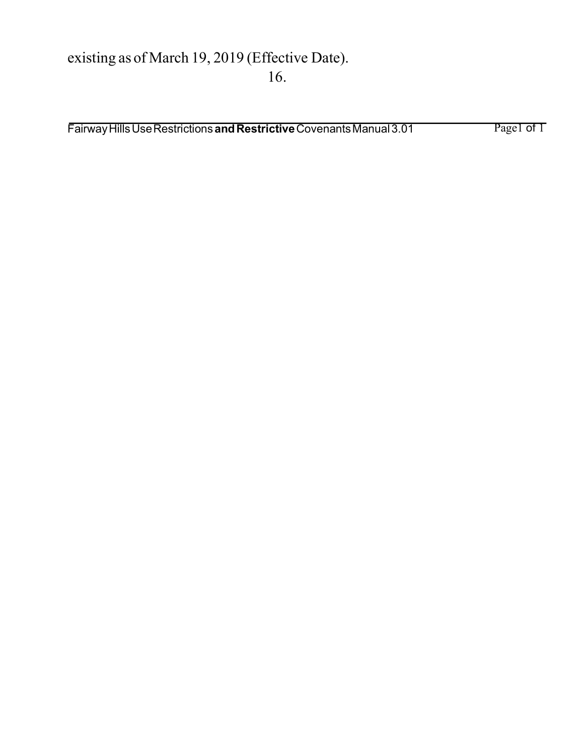# existing as of March 19, 2019 (Effective Date). 16.

Fairway Hills Use Restrictions and Restrictive Covenants Manual 3.01 Page1 of T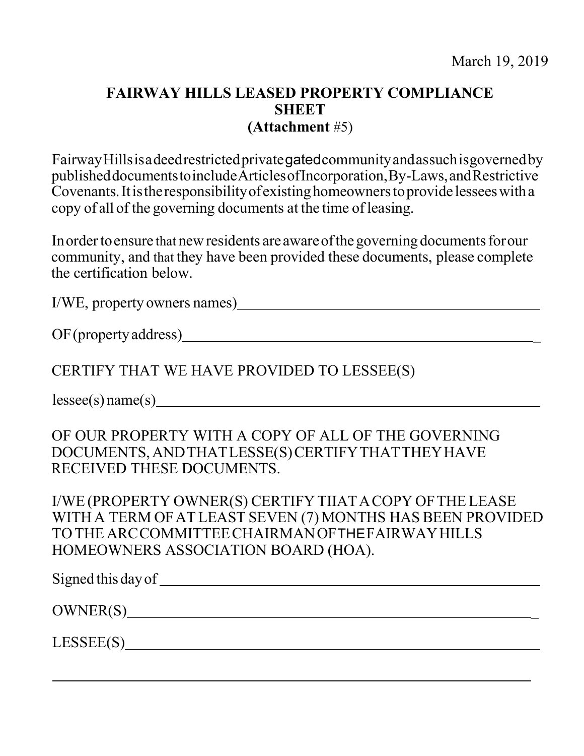## **FAIRWAY HILLS LEASED PROPERTY COMPLIANCE SHEET (Attachment** #5)

FairwayHillsisadeedrestrictedprivategatedcommunityandassuchisgovernedby publisheddocumentstoincludeArticlesofIncorporation,By-Laws,andRestrictive Covenants. It is the responsibility of existing homeowners to provide lessees with a copy of all of the governing documents at the time of leasing.

In order to ensure that new residents are aware of the governing documents for our community, and that they have been provided these documents, please complete the certification below.

I/WE, property owners names)

OF(propertyaddress) \_

CERTIFY THAT WE HAVE PROVIDED TO LESSEE(S)

lessee(s) name(s)

OF OUR PROPERTY WITH A COPY OF ALL OF THE GOVERNING DOCUMENTS,ANDTHATLESSE(S)CERTIFYTHATTHEYHAVE RECEIVED THESE DOCUMENTS.

I/WE(PROPERTY OWNER(S) CERTIFY TIIATACOPY OFTHELEASE WITHA TERM OFATLEAST SEVEN (7) MONTHS HAS BEEN PROVIDED TOTHE ARCCOMMITTEECHAIRMANOFTHEFAIRWAYHILLS HOMEOWNERS ASSOCIATION BOARD (HOA).

| Signed this day of |  |
|--------------------|--|
| OWNER(S)           |  |
| LESSEE(S)          |  |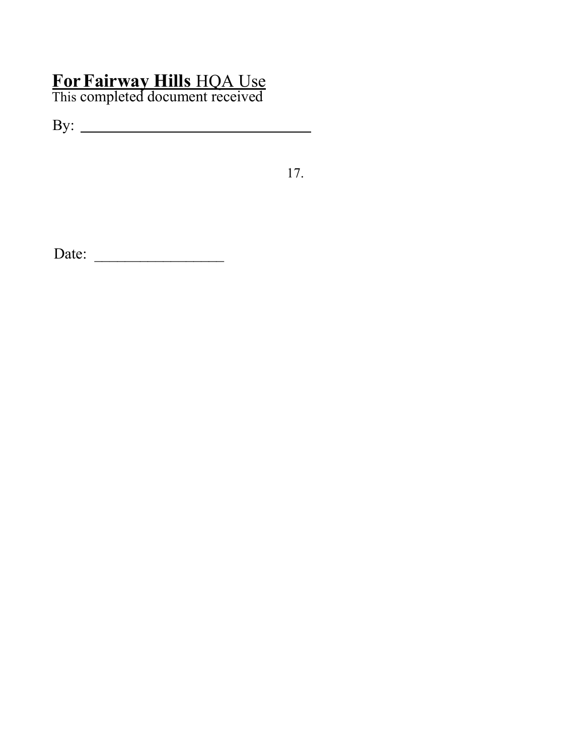# **ForFairway Hills** HQA Use

This completed document received

By:

17.

Date: \_\_\_\_\_\_\_\_\_\_\_\_\_\_\_\_\_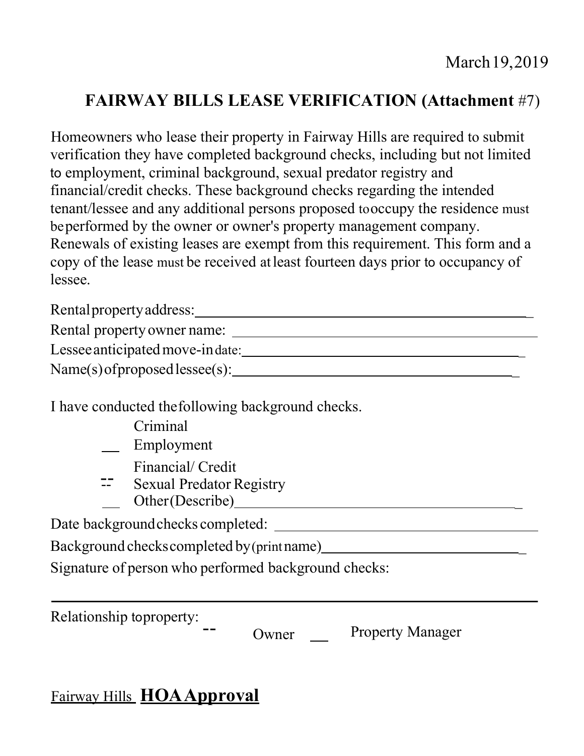# **FAIRWAY BILLS LEASE VERIFICATION (Attachment** #7)

Homeowners who lease their property in Fairway Hills are required to submit verification they have completed background checks, including but not limited to employment, criminal background, sexual predator registry and financial/credit checks. These background checks regarding the intended tenant/lessee and any additional persons proposed tooccupy the residence must beperformed by the owner or owner's property management company. Renewals of existing leases are exempt from this requirement. This form and a copy of the lease must be received atleast fourteen days prior to occupancy of lessee.

Rentalpropertyaddress: \_

Rental property owner name:

Lesseeanticipatedmove-indate: \_

Name(s)ofproposedlessee(s): \_

I have conducted thefollowing background checks.

- Criminal
- \_\_ Employment
	-
- Financial/ Credit<br>
== Sexual Predator Registry
- Other(Describe)

Date backgroundchecks completed:

Background checkscompleted by(printname) \_

Signature of person who performed background checks:

Relationship toproperty:<br>  $\begin{array}{ccc}\n-\text{Owner} & \text{Property Manager}\n\end{array}$ 

# Fairway Hills **HOAApproval**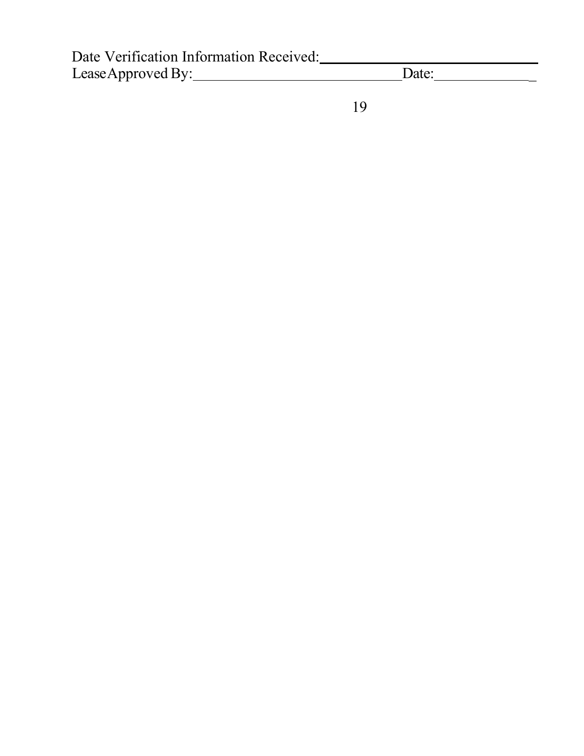| Date Verification Information Received: |       |  |
|-----------------------------------------|-------|--|
| Lease Approved By:                      | Date: |  |